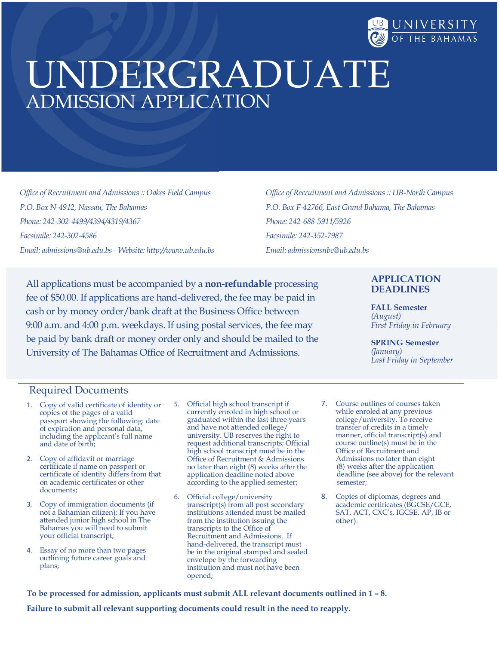

# UNDERGRADUATE ADMISSION APPLICATION

Office of Recruitment and Admissions :: Oakes Field Campus P.O. Box N-4912, Nassau, The Bahamas Phone: 242-302-4499/4394/4319/4367 Facsimile: 242-302-4586 Email: admissions@ub.edu.bs - Website: http://www.ub.edu.bs Office of Recruitment and Admissions :: UB-North Campus P.O. Box F-42766, East Grand Bahama, The Bahamas Phone: 242-688-5911/5926 Facsimile: 242-352-7987 Email: admissionsnbc@ub.edu.bs

All applications must be accompanied by a **non-refundable** processing fee of \$50.00. If applications are hand-delivered, the fee may be paid in cash or by money order/bank draft at the Business Office between 9:00 a.m. and 4:00 p.m. weekdays. If using postal services, the fee may be paid by bank draft or money order only and should be mailed to the University of The Bahamas Office of Recruitment and Admissions.

#### APPLICATION DEADLINES

FALL Semester (August) First Friday in February

SPRING Semester (January) Last Friday in September

#### Required Documents

- 1. Copy of valid certificate of identity or 5. Official high school transcript if copies of the pages of a valid currently enroled in high school or copies of the pages of a valid passport showing the following: date of expiration and personal data, including the applicant's full name and date of birth;
- 2. Copy of affidavit or marriage certificate if name on passport or certificate of identity differs from that on academic certificates or other documents;
- 3. Copy of immigration documents (if not a Bahamian citizen); If you have attended junior high school in The Bahamas you will need to submit your official transcript;
- 4. Essay of no more than two pages outlining future career goals and plans;
- Official high school transcript if graduated within the last three years and have not attended college/ university. UB reserves the right to request additional transcripts; Official high school transcript must be in the Office of Recruitment & Admissions no later than eight (8) weeks after the application deadline noted above according to the applied semester;
- 6. Official college/university transcript(s) from all post secondary institutions attended must be mailed from the institution issuing the transcripts to the Office of Recruitment and Admissions. If hand-delivered, the transcript must be in the original stamped and sealed envelope by the forwarding institution and must not have been opened;
- 7. Course outlines of courses taken while enroled at any previous college/university. To receive transfer of credits in a timely manner, official transcript(s) and course outline(s) must be in the Office of Recruitment and Admissions no later than eight (8) weeks after the application deadline (see above) for the relevant semester;
- 8. Copies of diplomas, degrees and academic certificates (BGCSE/GCE, SAT, ACT, CXC's, IGCSE, AP, IB or other).

To be processed for admission, applicants must submit ALL relevant documents outlined in 1 – 8.

Failure to submit all relevant supporting documents could result in the need to reapply.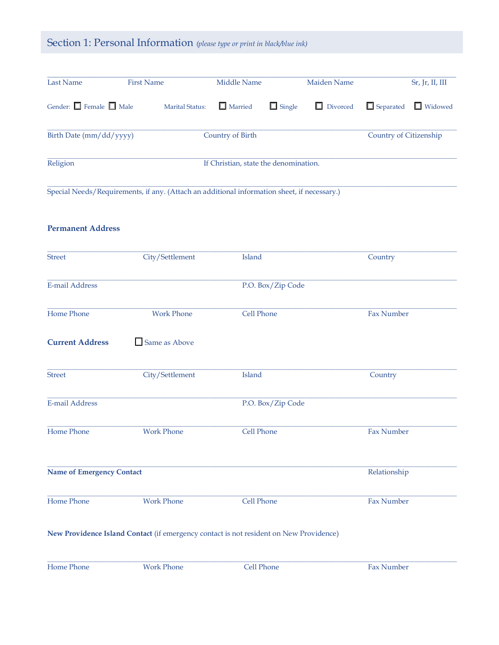# Section 1: Personal Information (please type or print in black/blue ink)

| Last Name                         | <b>First Name</b> |                 | Middle Name                           |               | Maiden Name     |                        | Sr, Jr, II, III |
|-----------------------------------|-------------------|-----------------|---------------------------------------|---------------|-----------------|------------------------|-----------------|
| Gender: $\Box$ Female $\Box$ Male |                   | Marital Status: | $\Box$ Married                        | $\Box$ Single | $\Box$ Divorced | $\Box$ Separated       | $\Box$ Widowed  |
| Birth Date (mm/dd/yyyy)           |                   |                 | Country of Birth                      |               |                 | Country of Citizenship |                 |
| Religion                          |                   |                 | If Christian, state the denomination. |               |                 |                        |                 |

Special Needs/Requirements, if any. (Attach an additional information sheet, if necessary.)

#### **Permanent Address**

| <b>Street</b>                    | City/Settlement   | Island                                                                                 | Country      |
|----------------------------------|-------------------|----------------------------------------------------------------------------------------|--------------|
| <b>E-mail Address</b>            |                   | P.O. Box/Zip Code                                                                      |              |
| Home Phone                       | <b>Work Phone</b> | Cell Phone                                                                             | Fax Number   |
| <b>Current Address</b>           | Same as Above     |                                                                                        |              |
| <b>Street</b>                    | City/Settlement   | Island                                                                                 | Country      |
| <b>E-mail Address</b>            |                   | P.O. Box/Zip Code                                                                      |              |
| Home Phone                       | <b>Work Phone</b> | Cell Phone                                                                             | Fax Number   |
| <b>Name of Emergency Contact</b> |                   |                                                                                        | Relationship |
| Home Phone                       | <b>Work Phone</b> | Cell Phone                                                                             | Fax Number   |
|                                  |                   | New Providence Island Contact (if emergency contact is not resident on New Providence) |              |
| Home Phone                       | <b>Work Phone</b> | Cell Phone                                                                             | Fax Number   |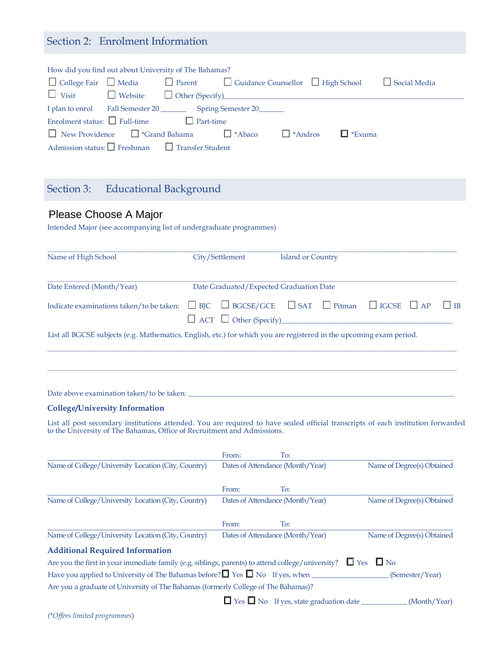## Section 2: Enrolment Information

| How did you find out about University of The Bahamas?                                                            |
|------------------------------------------------------------------------------------------------------------------|
| $\Box$ College Fair $\Box$ Media $\Box$ Parent $\Box$ Guidance Counsellor $\Box$ High School $\Box$ Social Media |
| $\Box$ Visit $\Box$ Website $\Box$ Other (Specify)                                                               |
| I plan to enrol Fall Semester 20 __________ Spring Semester 20 _______                                           |
| Enrolment status: $\Box$ Full-time $\Box$ Part-time                                                              |
| $\Box$ New Providence $\Box$ *Grand Bahama $\Box$ *Abaco<br>$\Box$ *Exuma<br>$\Box$ *Andros                      |
| Admission status: Freshman Transfer Student                                                                      |

## Section 3: Educational Background

# Please Choose A Major

| Name of High School<br>City/Settlement<br><b>Island or Country</b><br>Date Entered (Month/Year)<br>Date Graduated/Expected Graduation Date<br>$\Box$ ACT $\Box$ Other (Specify) |
|---------------------------------------------------------------------------------------------------------------------------------------------------------------------------------|
|                                                                                                                                                                                 |
| Indicate examinations taken/to be taken: $\Box$ BJC $\Box$ BGCSE/GCE $\Box$ SAT $\Box$ Pitman $\Box$ IGCSE $\Box$ AP $\Box$ IB                                                  |
|                                                                                                                                                                                 |
| List all BGCSE subjects (e.g. Mathematics, English, etc.) for which you are registered in the upcoming exam period.                                                             |

Date above examination taken/to be taken:

#### College/University Information

List all post secondary institutions attended. You are required to have sealed official transcripts of each institution forwarded to the University of The Bahamas, Office of Recruitment and Admissions.

|                                                                                                   | From: | To:                                                       |                            |
|---------------------------------------------------------------------------------------------------|-------|-----------------------------------------------------------|----------------------------|
| Name of College/University Location (City, Country)                                               |       | Dates of Attendance (Month/Year)                          | Name of Degree(s) Obtained |
|                                                                                                   | From: | To:                                                       |                            |
| Name of College/University Location (City, Country)                                               |       | Dates of Attendance (Month/Year)                          | Name of Degree(s) Obtained |
|                                                                                                   | From: | To:                                                       |                            |
| Name of College/University Location (City, Country)                                               |       | Dates of Attendance (Month/Year)                          | Name of Degree(s) Obtained |
| <b>Additional Required Information</b>                                                            |       |                                                           |                            |
| Are you the first in your immediate family (e.g. siblings, parents) to attend college/university? |       |                                                           | $\Box$ Yes $\Box$ No       |
| Have you applied to University of The Bahamas before? $\Box$ Yes $\Box$ No If yes, when           |       |                                                           | (Semester/Year)            |
| Are you a graduate of University of The Bahamas (formerly College of The Bahamas)?                |       |                                                           |                            |
|                                                                                                   |       | $\Box$ Yes $\Box$ No If yes, state graduation date $\Box$ | (Month/Year)               |
|                                                                                                   |       |                                                           |                            |